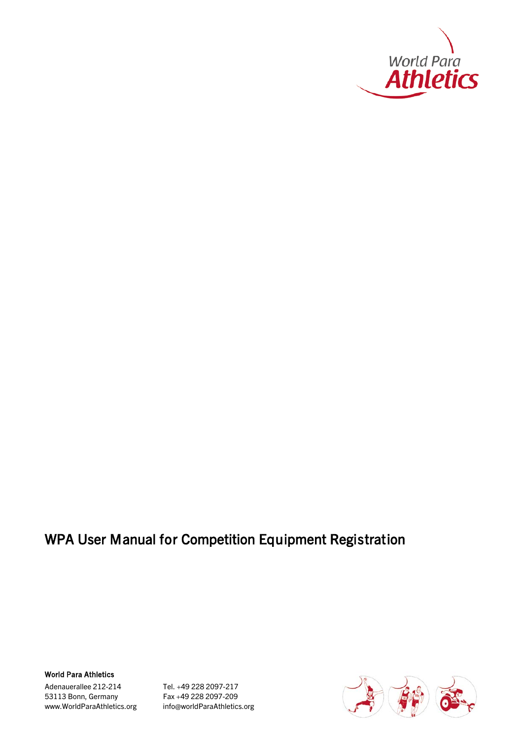

## WPA User Manual for Competition Equipment Registration

World Para Athletics

Adenauerallee 212-214 Tel. +49 228 2097-217 53113 Bonn, Germany Fax +49 228 2097-209 www.WorldParaAthletics.org info@worldParaAthletics.org

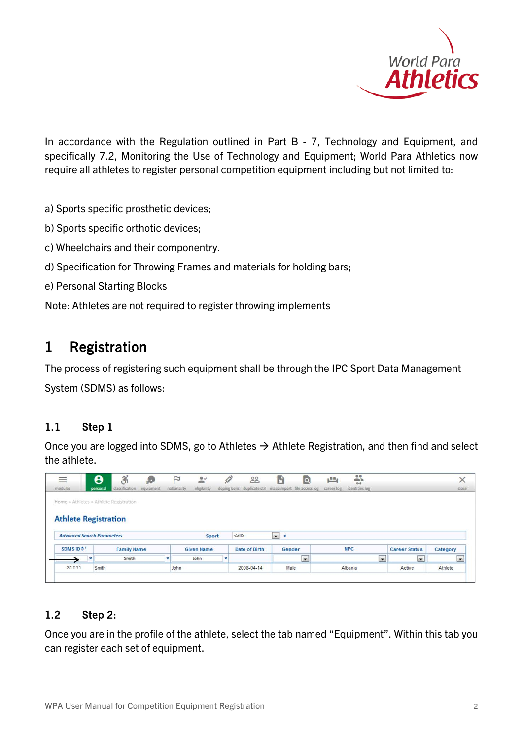

In accordance with the Regulation outlined in Part B - 7, Technology and Equipment, and specifically 7.2, Monitoring the Use of Technology and Equipment; World Para Athletics now require all athletes to register personal competition equipment including but not limited to:

a) Sports specific prosthetic devices;

- b) Sports specific orthotic devices;
- c) Wheelchairs and their componentry.
- d) Specification for Throwing Frames and materials for holding bars;
- e) Personal Starting Blocks

Note: Athletes are not required to register throwing implements

### 1 Registration

The process of registering such equipment shall be through the IPC Sport Data Management System (SDMS) as follows:

#### 1.1 Step 1

Once you are logged into SDMS, go to Athletes  $\rightarrow$  Athlete Registration, and then find and select the athlete.

| $\equiv$                               | Ѳ<br>3                     |                    | ю         | $\approx$      | $\overset{\circ}{\equiv}$ |              | $rac{00}{20}$                                          | h           | Q         | بھیر       | $\frac{1}{12}$ |                      |                          | $\times$       |
|----------------------------------------|----------------------------|--------------------|-----------|----------------|---------------------------|--------------|--------------------------------------------------------|-------------|-----------|------------|----------------|----------------------|--------------------------|----------------|
| modules                                | classification<br>personal |                    | equipment | nationality    | eligibility               |              | doping bans duplicate ctrl mass import file access log |             |           | career log | identities log |                      |                          | dose:          |
| Home » Athletes » Athlete Registration |                            |                    |           |                |                           |              |                                                        |             |           |            |                |                      |                          |                |
|                                        |                            |                    |           |                |                           |              |                                                        |             |           |            |                |                      |                          |                |
|                                        |                            |                    |           |                |                           |              |                                                        |             |           |            |                |                      |                          |                |
| <b>Athlete Registration</b>            |                            |                    |           |                |                           |              |                                                        |             |           |            |                |                      |                          |                |
|                                        |                            |                    |           |                |                           |              |                                                        |             |           |            |                |                      |                          |                |
| <b>Advanced Search Parameters</b>      |                            |                    |           |                | Sport                     |              | <all></all>                                            | $\bullet$ x |           |            |                |                      |                          |                |
| SDMS $ID^{\pm 1}$                      |                            | <b>Family Name</b> |           |                | <b>Given Name</b>         |              | Date of Birth                                          | Gender      |           |            | <b>NPC</b>     | <b>Career Status</b> |                          | Category       |
| $\mathbf{x}$                           |                            | Smith              |           | $\pmb{\times}$ | <b>John</b>               | $\mathbf{x}$ |                                                        |             | $\bullet$ |            | $\blacksquare$ |                      | $\overline{\phantom{a}}$ | $\blacksquare$ |

### 1.2 Step 2:

Once you are in the profile of the athlete, select the tab named "Equipment". Within this tab you can register each set of equipment.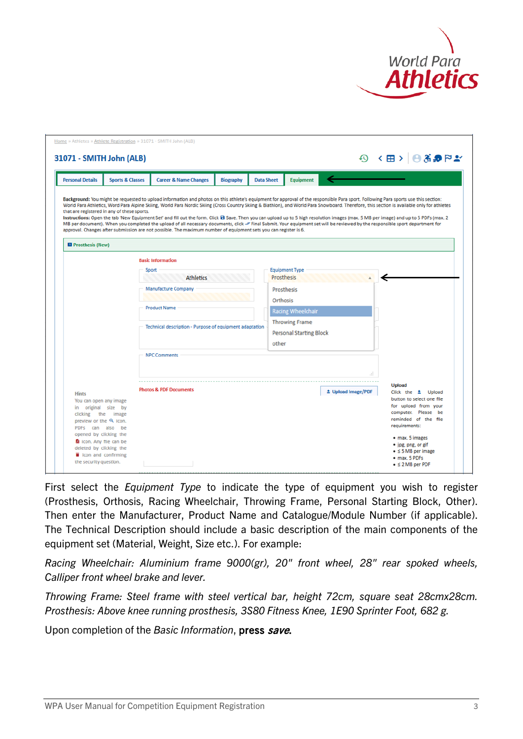

| <b>Personal Details</b>                                                                                                                                                                                                                                          | <b>Sports &amp; Classes</b>                 | <b>Career &amp; Name Changes</b>                                                                                                                                                                                                                                                                                                                                                                                                                                                         | <b>Biography</b> | <b>Data Sheet</b> | <b>Equipment</b>                                                                                                                                |                                |                                                                                                                                                                                                                                                                                                                                                                                             |
|------------------------------------------------------------------------------------------------------------------------------------------------------------------------------------------------------------------------------------------------------------------|---------------------------------------------|------------------------------------------------------------------------------------------------------------------------------------------------------------------------------------------------------------------------------------------------------------------------------------------------------------------------------------------------------------------------------------------------------------------------------------------------------------------------------------------|------------------|-------------------|-------------------------------------------------------------------------------------------------------------------------------------------------|--------------------------------|---------------------------------------------------------------------------------------------------------------------------------------------------------------------------------------------------------------------------------------------------------------------------------------------------------------------------------------------------------------------------------------------|
|                                                                                                                                                                                                                                                                  | that are registered in any of these sports. | Background: You might be requested to upload information and photos on this athlete's equipment for approval of the responsible Para sport. Following Para sports use this section:<br>MB per document). When you completed the upload of all necessary documents, click « Final Submit. Your equipment set will be reviewed by the responsible sport department for<br>approval. Changes after submission are not possible. The maximum number of equipment sets you can register is 6. |                  |                   |                                                                                                                                                 |                                | World Para Athletics, Word Para Alpine Skiing, World Para Nordic Skiing (Cross Country Skiing & Biathlon), and World Para Snowboard. Therefore, this section is available only for athletes<br>Instructions: Open the tab 'New Equipment Set' and fill out the form. Click <b>B</b> Save. Then you can upload up to 5 high resolution images (max. 5 MB per image) and up to 5 PDFs (max. 2 |
| <b>El</b> Prosthesis (New)                                                                                                                                                                                                                                       |                                             |                                                                                                                                                                                                                                                                                                                                                                                                                                                                                          |                  |                   |                                                                                                                                                 |                                |                                                                                                                                                                                                                                                                                                                                                                                             |
|                                                                                                                                                                                                                                                                  |                                             | <b>Basic Information</b><br>Sport<br><b>Athletics</b><br><b>Manufacture Company</b><br><b>Product Name</b><br>Technical description - Purpose of equipment adaptation<br><b>NPC Comments</b>                                                                                                                                                                                                                                                                                             |                  | Orthosis<br>other | <b>Equipment Type</b><br><b>Prosthesis</b><br>Prosthesis<br><b>Racing Wheelchair</b><br><b>Throwing Frame</b><br><b>Personal Starting Block</b> |                                |                                                                                                                                                                                                                                                                                                                                                                                             |
| <b>Hints</b><br>You can open any image<br>in original size by<br>clicking the image<br>preview or the Q icon.<br>PDFs can also be<br>opened by clicking the<br>icon. Any file can be<br>deleted by clicking the<br>icon and confirming<br>the security question. |                                             | <b>Photos &amp; PDF Documents</b>                                                                                                                                                                                                                                                                                                                                                                                                                                                        |                  |                   |                                                                                                                                                 | Æ<br><b>生 Upload Image/PDF</b> | <b>Upload</b><br>Click the $\pm$ Upload<br>button to select one file<br>for upload from your<br>computer. Please be<br>reminded of the file<br>requirements:<br>• max. 5 images<br>• ipg, png, or gif<br>$\bullet$ $\leq$ 5 MB per image<br>· max. 5 PDFs<br>$\bullet$ $\leq$ 2 MB per PDF                                                                                                  |

First select the *Equipment Type* to indicate the type of equipment you wish to register (Prosthesis, Orthosis, Racing Wheelchair, Throwing Frame, Personal Starting Block, Other). Then enter the Manufacturer, Product Name and Catalogue/Module Number (if applicable). The Technical Description should include a basic description of the main components of the equipment set (Material, Weight, Size etc.). For example:

*Racing Wheelchair: Aluminium frame 9000(gr), 20" front wheel, 28" rear spoked wheels, Calliper front wheel brake and lever.*

*Throwing Frame: Steel frame with steel vertical bar, height 72cm, square seat 28cmx28cm. Prosthesis: Above knee running prosthesis, 3S80 Fitness Knee, 1E90 Sprinter Foot, 682 g.* 

Upon completion of the *Basic Information*, press save.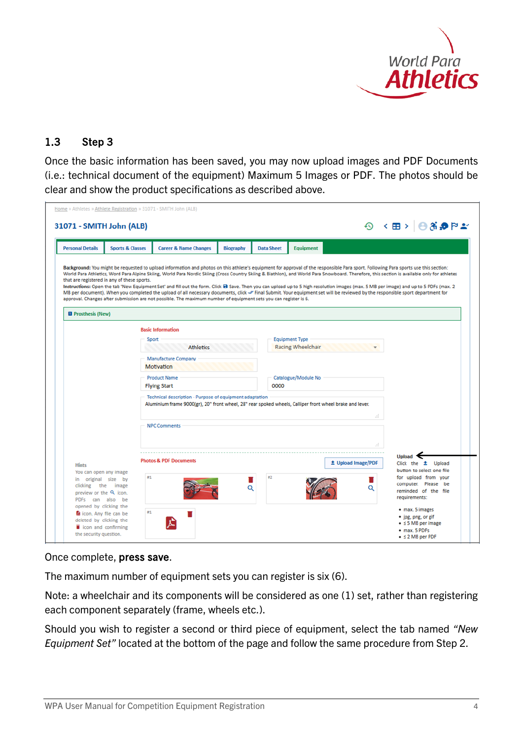

#### 1.3 Step 3

Once the basic information has been saved, you may now upload images and PDF Documents (i.e.: technical document of the equipment) Maximum 5 Images or PDF. The photos should be clear and show the product specifications as described above.

| <b>Personal Details</b>                                                                                           | <b>Sports &amp; Classes</b>                 | <b>Career &amp; Name Changes</b>                                                                                                                                    | <b>Biography</b> | <b>Data Sheet</b> | <b>Equipment</b>         |                           |                                                                                                                                                                                                                                                                                                                                                                                                                                                                                                                                                                                                                                                                                                                                                                     |
|-------------------------------------------------------------------------------------------------------------------|---------------------------------------------|---------------------------------------------------------------------------------------------------------------------------------------------------------------------|------------------|-------------------|--------------------------|---------------------------|---------------------------------------------------------------------------------------------------------------------------------------------------------------------------------------------------------------------------------------------------------------------------------------------------------------------------------------------------------------------------------------------------------------------------------------------------------------------------------------------------------------------------------------------------------------------------------------------------------------------------------------------------------------------------------------------------------------------------------------------------------------------|
|                                                                                                                   | that are registered in any of these sports. | approval. Changes after submission are not possible. The maximum number of equipment sets you can register is 6.                                                    |                  |                   |                          |                           | Background: You might be requested to upload information and photos on this athlete's equipment for approval of the responsible Para sport. Following Para sports use this section:<br>World Para Athletics, Word Para Alpine Skiing, World Para Nordic Skiing (Cross Country Skiing & Biathlon), and World Para Snowboard. Therefore, this section is available only for athletes<br>Instructions: Open the tab 'New Equipment Set' and fill out the form. Click <b>B</b> Save. Then you can upload up to 5 high resolution images (max. 5 MB per image) and up to 5 PDFs (max. 2<br>MB per document). When you completed the upload of all necessary documents, click « Final Submit. Your equipment set will be reviewed by the responsible sport department for |
| <b>n</b> Prosthesis (New)                                                                                         |                                             |                                                                                                                                                                     |                  |                   |                          |                           |                                                                                                                                                                                                                                                                                                                                                                                                                                                                                                                                                                                                                                                                                                                                                                     |
|                                                                                                                   |                                             | <b>Basic Information</b><br>Sport                                                                                                                                   |                  |                   | <b>Equipment Type</b>    |                           |                                                                                                                                                                                                                                                                                                                                                                                                                                                                                                                                                                                                                                                                                                                                                                     |
|                                                                                                                   |                                             | <b>Athletics</b><br><b>Manufacture Company</b><br><b>Motivation</b>                                                                                                 |                  |                   | <b>Racing Wheelchair</b> |                           |                                                                                                                                                                                                                                                                                                                                                                                                                                                                                                                                                                                                                                                                                                                                                                     |
|                                                                                                                   |                                             | <b>Product Name</b><br><b>Flying Start</b>                                                                                                                          |                  | 0000              | Catalogue/Module No      |                           |                                                                                                                                                                                                                                                                                                                                                                                                                                                                                                                                                                                                                                                                                                                                                                     |
|                                                                                                                   |                                             | Technical description - Purpose of equipment adaptation<br>Aluminium frame 9000(gr), 20" front wheel, 28" rear spoked wheels, Calliper front wheel brake and lever. |                  |                   |                          |                           |                                                                                                                                                                                                                                                                                                                                                                                                                                                                                                                                                                                                                                                                                                                                                                     |
|                                                                                                                   |                                             | <b>NPC Comments</b>                                                                                                                                                 |                  |                   |                          | иź.                       |                                                                                                                                                                                                                                                                                                                                                                                                                                                                                                                                                                                                                                                                                                                                                                     |
| <b>Hints</b>                                                                                                      |                                             | <b>Photos &amp; PDF Documents</b>                                                                                                                                   |                  |                   |                          | <b>≛ Upload Image/PDF</b> | <b>Upload</b><br>Click the $\pm$ Upload                                                                                                                                                                                                                                                                                                                                                                                                                                                                                                                                                                                                                                                                                                                             |
| You can open any image<br>in original size by<br>clicking the image<br>preview or the Q icon.<br>PDFs can also be | #1                                          |                                                                                                                                                                     | Q                | #2                |                          | Q                         | button to select one file<br>for upload from your<br>computer. Please be<br>reminded of the file<br>requirements:                                                                                                                                                                                                                                                                                                                                                                                                                                                                                                                                                                                                                                                   |
| opened by clicking the<br>icon. Any file can be<br>deleted by clicking the<br>icon and confirming                 | #1<br>the security question.                |                                                                                                                                                                     |                  |                   |                          |                           | • max. 5 images<br>• jpg, png, or gif<br>$\bullet$ $\leq$ 5 MB per image<br>· max. 5 PDFs<br>$\bullet$ $\leq$ 2 MB per PDF                                                                                                                                                                                                                                                                                                                                                                                                                                                                                                                                                                                                                                          |

#### Once complete, press save.

The maximum number of equipment sets you can register is six (6).

Note: a wheelchair and its components will be considered as one (1) set, rather than registering each component separately (frame, wheels etc.).

Should you wish to register a second or third piece of equipment, select the tab named *"New Equipment Set"* located at the bottom of the page and follow the same procedure from Step 2.